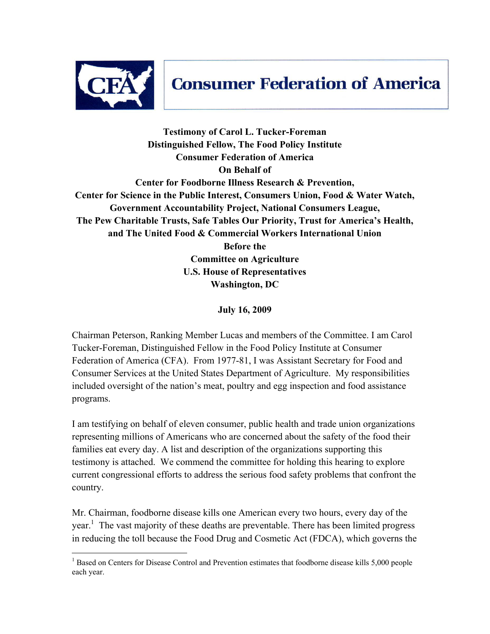

## **Consumer Federation of America**

**Testimony of Carol L. Tucker-Foreman Distinguished Fellow, The Food Policy Institute Consumer Federation of America On Behalf of Center for Foodborne Illness Research & Prevention, Center for Science in the Public Interest, Consumers Union, Food & Water Watch, Government Accountability Project, National Consumers League, The Pew Charitable Trusts, Safe Tables Our Priority, Trust for America's Health, and The United Food & Commercial Workers International Union Before the Committee on Agriculture U.S. House of Representatives Washington, DC** 

**July 16, 2009** 

Chairman Peterson, Ranking Member Lucas and members of the Committee. I am Carol Tucker-Foreman, Distinguished Fellow in the Food Policy Institute at Consumer Federation of America (CFA). From 1977-81, I was Assistant Secretary for Food and Consumer Services at the United States Department of Agriculture. My responsibilities included oversight of the nation's meat, poultry and egg inspection and food assistance programs.

I am testifying on behalf of eleven consumer, public health and trade union organizations representing millions of Americans who are concerned about the safety of the food their families eat every day. A list and description of the organizations supporting this testimony is attached. We commend the committee for holding this hearing to explore current congressional efforts to address the serious food safety problems that confront the country.

Mr. Chairman, foodborne disease kills one American every two hours, every day of the year.<sup>1</sup> The vast majority of these deaths are preventable. There has been limited progress in reducing the toll because the Food Drug and Cosmetic Act (FDCA), which governs the

<sup>&</sup>lt;sup>1</sup> Based on Centers for Disease Control and Prevention estimates that foodborne disease kills 5,000 people each year.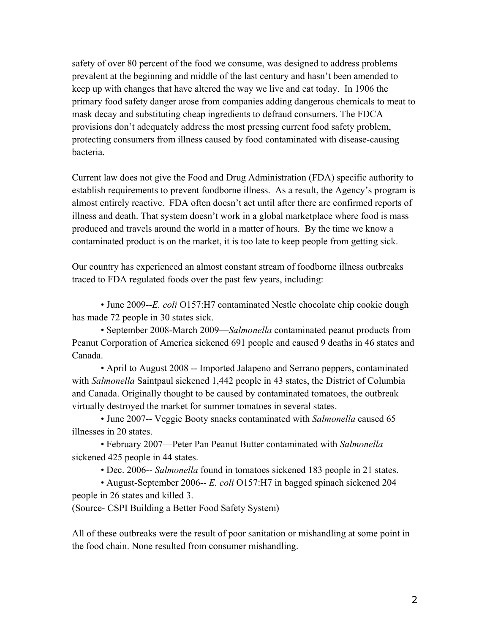safety of over 80 percent of the food we consume, was designed to address problems prevalent at the beginning and middle of the last century and hasn't been amended to keep up with changes that have altered the way we live and eat today. In 1906 the primary food safety danger arose from companies adding dangerous chemicals to meat to mask decay and substituting cheap ingredients to defraud consumers. The FDCA provisions don't adequately address the most pressing current food safety problem, protecting consumers from illness caused by food contaminated with disease-causing bacteria.

Current law does not give the Food and Drug Administration (FDA) specific authority to establish requirements to prevent foodborne illness. As a result, the Agency's program is almost entirely reactive. FDA often doesn't act until after there are confirmed reports of illness and death. That system doesn't work in a global marketplace where food is mass produced and travels around the world in a matter of hours. By the time we know a contaminated product is on the market, it is too late to keep people from getting sick.

Our country has experienced an almost constant stream of foodborne illness outbreaks traced to FDA regulated foods over the past few years, including:

 • June 2009--*E. coli* O157:H7 contaminated Nestle chocolate chip cookie dough has made 72 people in 30 states sick.

 • September 2008-March 2009—*Salmonella* contaminated peanut products from Peanut Corporation of America sickened 691 people and caused 9 deaths in 46 states and Canada.

 • April to August 2008 -- Imported Jalapeno and Serrano peppers, contaminated with *Salmonella* Saintpaul sickened 1,442 people in 43 states, the District of Columbia and Canada. Originally thought to be caused by contaminated tomatoes, the outbreak virtually destroyed the market for summer tomatoes in several states.

 • June 2007-- Veggie Booty snacks contaminated with *Salmonella* caused 65 illnesses in 20 states.

• February 2007—Peter Pan Peanut Butter contaminated with *Salmonella*  sickened 425 people in 44 states.

• Dec. 2006-- *Salmonella* found in tomatoes sickened 183 people in 21 states.

 • August-September 2006-- *E. coli* O157:H7 in bagged spinach sickened 204 people in 26 states and killed 3.

(Source- CSPI Building a Better Food Safety System)

All of these outbreaks were the result of poor sanitation or mishandling at some point in the food chain. None resulted from consumer mishandling.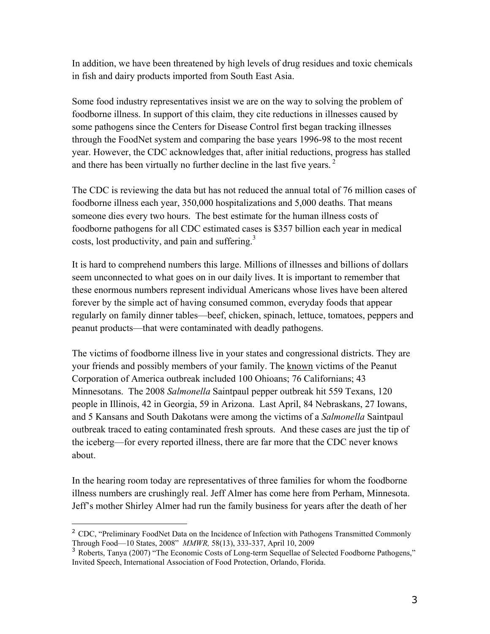In addition, we have been threatened by high levels of drug residues and toxic chemicals in fish and dairy products imported from South East Asia.

Some food industry representatives insist we are on the way to solving the problem of foodborne illness. In support of this claim, they cite reductions in illnesses caused by some pathogens since the Centers for Disease Control first began tracking illnesses through the FoodNet system and comparing the base years 1996-98 to the most recent year. However, the CDC acknowledges that, after initial reductions, progress has stalled and there has been virtually no further decline in the last five years.  $2\pi$ 

The CDC is reviewing the data but has not reduced the annual total of 76 million cases of foodborne illness each year, 350,000 hospitalizations and 5,000 deaths. That means someone dies every two hours. The best estimate for the human illness costs of foodborne pathogens for all CDC estimated cases is \$357 billion each year in medical costs, lost productivity, and pain and suffering. $3$ 

It is hard to comprehend numbers this large. Millions of illnesses and billions of dollars seem unconnected to what goes on in our daily lives. It is important to remember that these enormous numbers represent individual Americans whose lives have been altered forever by the simple act of having consumed common, everyday foods that appear regularly on family dinner tables—beef, chicken, spinach, lettuce, tomatoes, peppers and peanut products—that were contaminated with deadly pathogens.

The victims of foodborne illness live in your states and congressional districts. They are your friends and possibly members of your family. The known victims of the Peanut Corporation of America outbreak included 100 Ohioans; 76 Californians; 43 Minnesotans. The 2008 *Salmonella* Saintpaul pepper outbreak hit 559 Texans, 120 people in Illinois, 42 in Georgia, 59 in Arizona. Last April, 84 Nebraskans, 27 Iowans, and 5 Kansans and South Dakotans were among the victims of a *Salmonella* Saintpaul outbreak traced to eating contaminated fresh sprouts. And these cases are just the tip of the iceberg—for every reported illness, there are far more that the CDC never knows about.

In the hearing room today are representatives of three families for whom the foodborne illness numbers are crushingly real. Jeff Almer has come here from Perham, Minnesota. Jeff's mother Shirley Almer had run the family business for years after the death of her

-

<sup>&</sup>lt;sup>2</sup> CDC, "Preliminary FoodNet Data on the Incidence of Infection with Pathogens Transmitted Commonly Through Food—10 States, 2008" *MMWR,* 58(13), 333-337, April 10, 2009

<sup>&</sup>lt;sup>3</sup> Roberts, Tanya (2007) "The Economic Costs of Long-term Sequellae of Selected Foodborne Pathogens," Invited Speech, International Association of Food Protection, Orlando, Florida.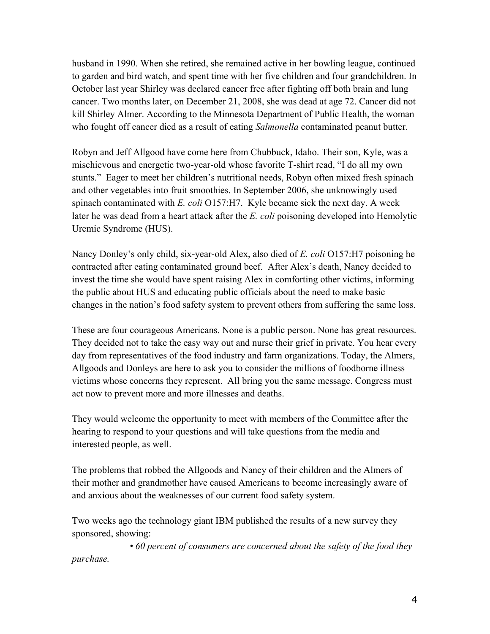husband in 1990. When she retired, she remained active in her bowling league, continued to garden and bird watch, and spent time with her five children and four grandchildren. In October last year Shirley was declared cancer free after fighting off both brain and lung cancer. Two months later, on December 21, 2008, she was dead at age 72. Cancer did not kill Shirley Almer. According to the Minnesota Department of Public Health, the woman who fought off cancer died as a result of eating *Salmonella* contaminated peanut butter.

Robyn and Jeff Allgood have come here from Chubbuck, Idaho. Their son, Kyle, was a mischievous and energetic two-year-old whose favorite T-shirt read, "I do all my own stunts." Eager to meet her children's nutritional needs, Robyn often mixed fresh spinach and other vegetables into fruit smoothies. In September 2006, she unknowingly used spinach contaminated with *E. coli* O157:H7. Kyle became sick the next day. A week later he was dead from a heart attack after the *E. coli* poisoning developed into Hemolytic Uremic Syndrome (HUS).

Nancy Donley's only child, six-year-old Alex, also died of *E. coli* O157:H7 poisoning he contracted after eating contaminated ground beef. After Alex's death, Nancy decided to invest the time she would have spent raising Alex in comforting other victims, informing the public about HUS and educating public officials about the need to make basic changes in the nation's food safety system to prevent others from suffering the same loss.

These are four courageous Americans. None is a public person. None has great resources. They decided not to take the easy way out and nurse their grief in private. You hear every day from representatives of the food industry and farm organizations. Today, the Almers, Allgoods and Donleys are here to ask you to consider the millions of foodborne illness victims whose concerns they represent. All bring you the same message. Congress must act now to prevent more and more illnesses and deaths.

They would welcome the opportunity to meet with members of the Committee after the hearing to respond to your questions and will take questions from the media and interested people, as well.

The problems that robbed the Allgoods and Nancy of their children and the Almers of their mother and grandmother have caused Americans to become increasingly aware of and anxious about the weaknesses of our current food safety system.

Two weeks ago the technology giant IBM published the results of a new survey they sponsored, showing:

 *• 60 percent of consumers are concerned about the safety of the food they purchase.*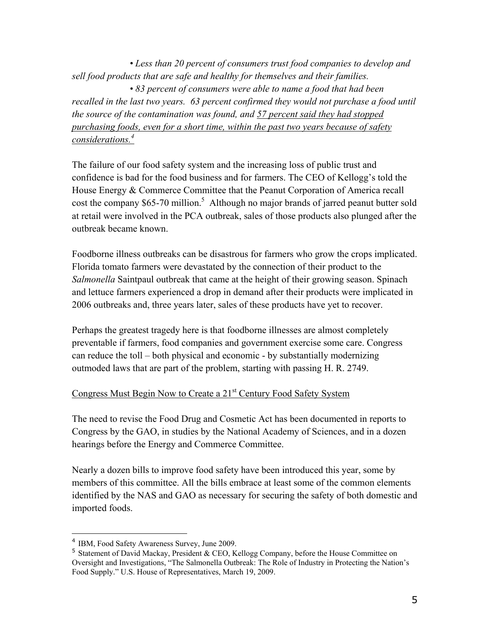*• Less than 20 percent of consumers trust food companies to develop and sell food products that are safe and healthy for themselves and their families. • 83 percent of consumers were able to name a food that had been*  recalled in the last two years. 63 percent confirmed they would not purchase a food until *the source of the contamination was found, and 57 percent said they had stopped purchasing foods, even for a short time, within the past two years because of safety considerations.4*

The failure of our food safety system and the increasing loss of public trust and confidence is bad for the food business and for farmers. The CEO of Kellogg's told the House Energy & Commerce Committee that the Peanut Corporation of America recall cost the company  $$65-70$  million.<sup>5</sup> Although no major brands of jarred peanut butter sold at retail were involved in the PCA outbreak, sales of those products also plunged after the outbreak became known.

Foodborne illness outbreaks can be disastrous for farmers who grow the crops implicated. Florida tomato farmers were devastated by the connection of their product to the *Salmonella* Saintpaul outbreak that came at the height of their growing season. Spinach and lettuce farmers experienced a drop in demand after their products were implicated in 2006 outbreaks and, three years later, sales of these products have yet to recover.

Perhaps the greatest tragedy here is that foodborne illnesses are almost completely preventable if farmers, food companies and government exercise some care. Congress can reduce the toll – both physical and economic - by substantially modernizing outmoded laws that are part of the problem, starting with passing H. R. 2749.

## Congress Must Begin Now to Create a 21<sup>st</sup> Century Food Safety System

The need to revise the Food Drug and Cosmetic Act has been documented in reports to Congress by the GAO, in studies by the National Academy of Sciences, and in a dozen hearings before the Energy and Commerce Committee.

Nearly a dozen bills to improve food safety have been introduced this year, some by members of this committee. All the bills embrace at least some of the common elements identified by the NAS and GAO as necessary for securing the safety of both domestic and imported foods.

 $\overline{a}$ 

<sup>4</sup> IBM, Food Safety Awareness Survey, June 2009.

<sup>5</sup> Statement of David Mackay, President & CEO, Kellogg Company, before the House Committee on Oversight and Investigations, "The Salmonella Outbreak: The Role of Industry in Protecting the Nation's Food Supply." U.S. House of Representatives, March 19, 2009.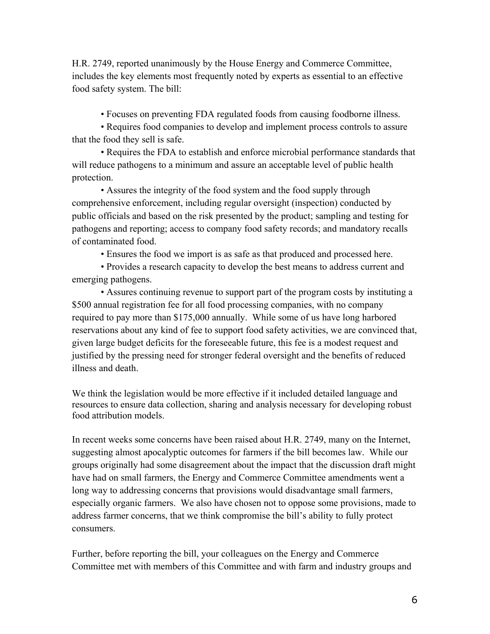H.R. 2749, reported unanimously by the House Energy and Commerce Committee, includes the key elements most frequently noted by experts as essential to an effective food safety system. The bill:

• Focuses on preventing FDA regulated foods from causing foodborne illness.

 • Requires food companies to develop and implement process controls to assure that the food they sell is safe.

 • Requires the FDA to establish and enforce microbial performance standards that will reduce pathogens to a minimum and assure an acceptable level of public health protection.

 • Assures the integrity of the food system and the food supply through comprehensive enforcement, including regular oversight (inspection) conducted by public officials and based on the risk presented by the product; sampling and testing for pathogens and reporting; access to company food safety records; and mandatory recalls of contaminated food.

• Ensures the food we import is as safe as that produced and processed here.

 • Provides a research capacity to develop the best means to address current and emerging pathogens.

 • Assures continuing revenue to support part of the program costs by instituting a \$500 annual registration fee for all food processing companies, with no company required to pay more than \$175,000 annually. While some of us have long harbored reservations about any kind of fee to support food safety activities, we are convinced that, given large budget deficits for the foreseeable future, this fee is a modest request and justified by the pressing need for stronger federal oversight and the benefits of reduced illness and death.

We think the legislation would be more effective if it included detailed language and resources to ensure data collection, sharing and analysis necessary for developing robust food attribution models.

In recent weeks some concerns have been raised about H.R. 2749, many on the Internet, suggesting almost apocalyptic outcomes for farmers if the bill becomes law. While our groups originally had some disagreement about the impact that the discussion draft might have had on small farmers, the Energy and Commerce Committee amendments went a long way to addressing concerns that provisions would disadvantage small farmers, especially organic farmers. We also have chosen not to oppose some provisions, made to address farmer concerns, that we think compromise the bill's ability to fully protect consumers.

Further, before reporting the bill, your colleagues on the Energy and Commerce Committee met with members of this Committee and with farm and industry groups and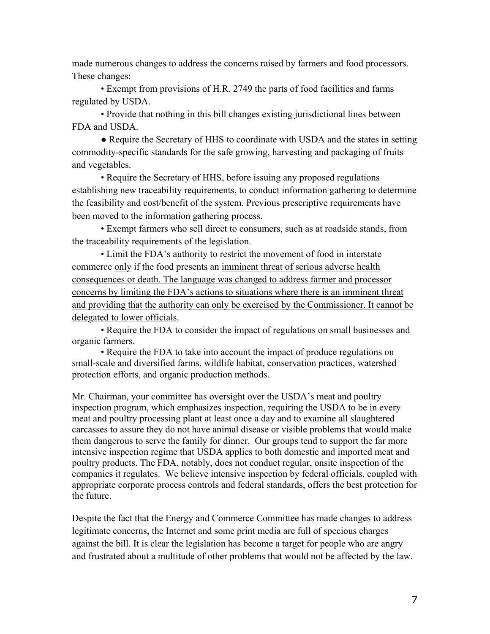made numerous changes to address the concerns raised by farmers and food processors. These changes:

 • Exempt from provisions of H.R. 2749 the parts of food facilities and farms regulated by USDA.

 • Provide that nothing in this bill changes existing jurisdictional lines between FDA and USDA.

• Require the Secretary of HHS to coordinate with USDA and the states in setting commodity-specific standards for the safe growing, harvesting and packaging of fruits and vegetables.

 • Require the Secretary of HHS, before issuing any proposed regulations establishing new traceability requirements, to conduct information gathering to determine the feasibility and cost/benefit of the system. Previous prescriptive requirements have been moved to the information gathering process.

 • Exempt farmers who sell direct to consumers, such as at roadside stands, from the traceability requirements of the legislation.

 • Limit the FDA's authority to restrict the movement of food in interstate commerce only if the food presents an imminent threat of serious adverse health consequences or death. The language was changed to address farmer and processor concerns by limiting the FDA's actions to situations where there is an imminent threat and providing that the authority can only be exercised by the Commissioner. It cannot be delegated to lower officials.

 • Require the FDA to consider the impact of regulations on small businesses and organic farmers.

• Require the FDA to take into account the impact of produce regulations on small-scale and diversified farms, wildlife habitat, conservation practices, watershed protection efforts, and organic production methods.

Mr. Chairman, your committee has oversight over the USDA's meat and poultry inspection program, which emphasizes inspection, requiring the USDA to be in every meat and poultry processing plant at least once a day and to examine all slaughtered carcasses to assure they do not have animal disease or visible problems that would make them dangerous to serve the family for dinner. Our groups tend to support the far more intensive inspection regime that USDA applies to both domestic and imported meat and poultry products. The FDA, notably, does not conduct regular, onsite inspection of the companies it regulates. We believe intensive inspection by federal officials, coupled with appropriate corporate process controls and federal standards, offers the best protection for the future.

Despite the fact that the Energy and Commerce Committee has made changes to address legitimate concerns, the Internet and some print media are full of specious charges against the bill. It is clear the legislation has become a target for people who are angry and frustrated about a multitude of other problems that would not be affected by the law.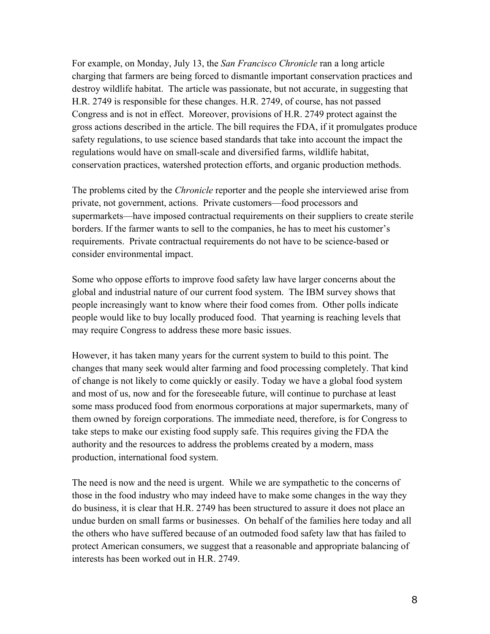For example, on Monday, July 13, the *San Francisco Chronicle* ran a long article charging that farmers are being forced to dismantle important conservation practices and destroy wildlife habitat. The article was passionate, but not accurate, in suggesting that H.R. 2749 is responsible for these changes. H.R. 2749, of course, has not passed Congress and is not in effect. Moreover, provisions of H.R. 2749 protect against the gross actions described in the article. The bill requires the FDA, if it promulgates produce safety regulations, to use science based standards that take into account the impact the regulations would have on small-scale and diversified farms, wildlife habitat, conservation practices, watershed protection efforts, and organic production methods.

The problems cited by the *Chronicle* reporter and the people she interviewed arise from private, not government, actions. Private customers—food processors and supermarkets—have imposed contractual requirements on their suppliers to create sterile borders. If the farmer wants to sell to the companies, he has to meet his customer's requirements. Private contractual requirements do not have to be science-based or consider environmental impact.

Some who oppose efforts to improve food safety law have larger concerns about the global and industrial nature of our current food system. The IBM survey shows that people increasingly want to know where their food comes from. Other polls indicate people would like to buy locally produced food. That yearning is reaching levels that may require Congress to address these more basic issues.

However, it has taken many years for the current system to build to this point. The changes that many seek would alter farming and food processing completely. That kind of change is not likely to come quickly or easily. Today we have a global food system and most of us, now and for the foreseeable future, will continue to purchase at least some mass produced food from enormous corporations at major supermarkets, many of them owned by foreign corporations. The immediate need, therefore, is for Congress to take steps to make our existing food supply safe. This requires giving the FDA the authority and the resources to address the problems created by a modern, mass production, international food system.

The need is now and the need is urgent. While we are sympathetic to the concerns of those in the food industry who may indeed have to make some changes in the way they do business, it is clear that H.R. 2749 has been structured to assure it does not place an undue burden on small farms or businesses. On behalf of the families here today and all the others who have suffered because of an outmoded food safety law that has failed to protect American consumers, we suggest that a reasonable and appropriate balancing of interests has been worked out in H.R. 2749.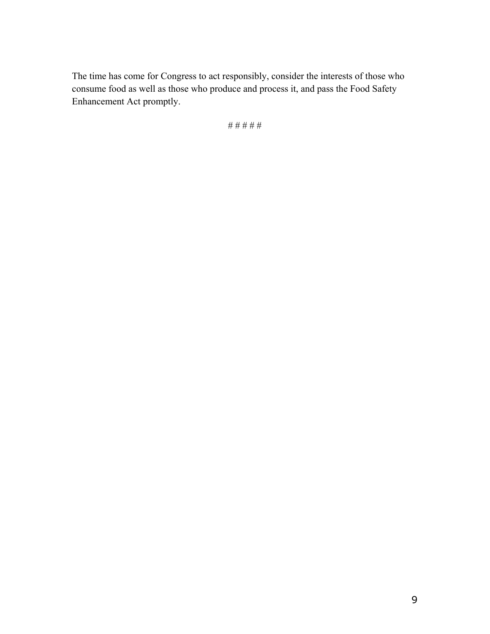The time has come for Congress to act responsibly, consider the interests of those who consume food as well as those who produce and process it, and pass the Food Safety Enhancement Act promptly.

# # # # #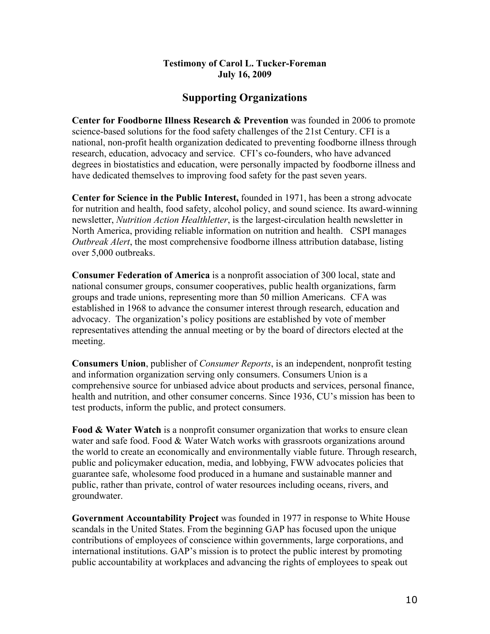## **Testimony of Carol L. Tucker-Foreman July 16, 2009**

## **Supporting Organizations**

**Center for Foodborne Illness Research & Prevention** was founded in 2006 to promote science-based solutions for the food safety challenges of the 21st Century. CFI is a national, non-profit health organization dedicated to preventing foodborne illness through research, education, advocacy and service. CFI's co-founders, who have advanced degrees in biostatistics and education, were personally impacted by foodborne illness and have dedicated themselves to improving food safety for the past seven years.

**Center for Science in the Public Interest,** founded in 1971, has been a strong advocate for nutrition and health, food safety, alcohol policy, and sound science. Its award-winning newsletter, *Nutrition Action Healthletter*, is the largest-circulation health newsletter in North America, providing reliable information on nutrition and health. CSPI manages *Outbreak Alert*, the most comprehensive foodborne illness attribution database, listing over 5,000 outbreaks.

**Consumer Federation of America** is a nonprofit association of 300 local, state and national consumer groups, consumer cooperatives, public health organizations, farm groups and trade unions, representing more than 50 million Americans. CFA was established in 1968 to advance the consumer interest through research, education and advocacy. The organization's policy positions are established by vote of member representatives attending the annual meeting or by the board of directors elected at the meeting.

**Consumers Union**, publisher of *Consumer Reports*, is an independent, nonprofit testing and information organization serving only consumers. Consumers Union is a comprehensive source for unbiased advice about products and services, personal finance, health and nutrition, and other consumer concerns. Since 1936, CU's mission has been to test products, inform the public, and protect consumers.

**Food & Water Watch** is a nonprofit consumer organization that works to ensure clean water and safe food. Food & Water Watch works with grassroots organizations around the world to create an economically and environmentally viable future. Through research, public and policymaker education, media, and lobbying, FWW advocates policies that guarantee safe, wholesome food produced in a humane and sustainable manner and public, rather than private, control of water resources including oceans, rivers, and groundwater.

**Government Accountability Project** was founded in 1977 in response to White House scandals in the United States. From the beginning GAP has focused upon the unique contributions of employees of conscience within governments, large corporations, and international institutions. GAP's mission is to protect the public interest by promoting public accountability at workplaces and advancing the rights of employees to speak out